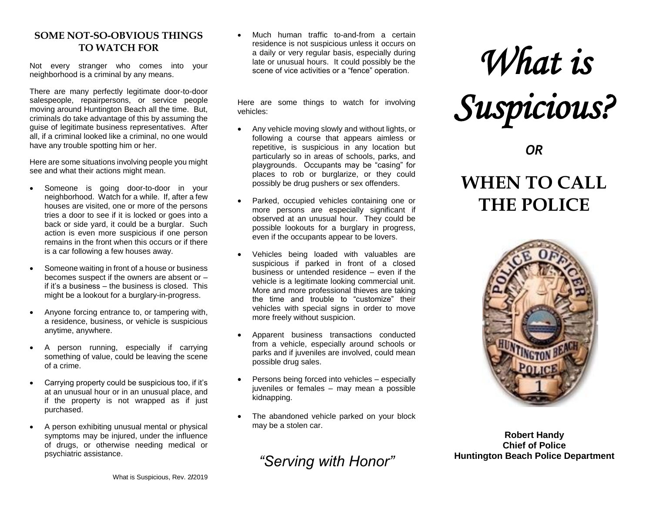#### **SOME NOT-SO-OBVIOUS THINGS TO WATCH FOR**

Not every stranger who comes into your neighborhood is a criminal by any means.

There are many perfectly legitimate door-to-door salespeople, repairpersons, or service people moving around Huntington Beach all the time. But, criminals do take advantage of this by assuming the guise of legitimate business representatives. After all, if a criminal looked like a criminal, no one would have any trouble spotting him or her.

Here are some situations involving people you might see and what their actions might mean.

- Someone is going door-to-door in your neighborhood. Watch for a while. If, after a few houses are visited, one or more of the persons tries a door to see if it is locked or goes into a back or side yard, it could be a burglar. Such action is even more suspicious if one person remains in the front when this occurs or if there is a car following a few houses away.
- Someone waiting in front of a house or business becomes suspect if the owners are absent or – if it's a business – the business is closed. This might be a lookout for a burglary-in-progress.
- Anyone forcing entrance to, or tampering with, a residence, business, or vehicle is suspicious anytime, anywhere.
- A person running, especially if carrying something of value, could be leaving the scene of a crime.
- Carrying property could be suspicious too, if it's at an unusual hour or in an unusual place, and if the property is not wrapped as if just purchased.
- A person exhibiting unusual mental or physical symptoms may be injured, under the influence of drugs, or otherwise needing medical or psychiatric assistance.

 Much human traffic to-and-from a certain residence is not suspicious unless it occurs on a daily or very regular basis, especially during late or unusual hours. It could possibly be the scene of vice activities or a "fence" operation.

Here are some things to watch for involving vehicles:

- Any vehicle moving slowly and without lights, or following a course that appears aimless or repetitive, is suspicious in any location but particularly so in areas of schools, parks, and playgrounds. Occupants may be "casing" for places to rob or burglarize, or they could possibly be drug pushers or sex offenders.
- Parked, occupied vehicles containing one or more persons are especially significant if observed at an unusual hour. They could be possible lookouts for a burglary in progress, even if the occupants appear to be lovers.
- Vehicles being loaded with valuables are suspicious if parked in front of a closed business or untended residence – even if the vehicle is a legitimate looking commercial unit. More and more professional thieves are taking the time and trouble to "customize" their vehicles with special signs in order to move more freely without suspicion.
- Apparent business transactions conducted from a vehicle, especially around schools or parks and if juveniles are involved, could mean possible drug sales.
- Persons being forced into vehicles especially juveniles or females – may mean a possible kidnapping.
- The abandoned vehicle parked on your block may be a stolen car.

*"Serving with Honor"*

# *What is Suspicious?*

### *OR*

## **WHEN TO CALL THE POLICE**



**Robert Handy Chief of Police Huntington Beach Police Department**